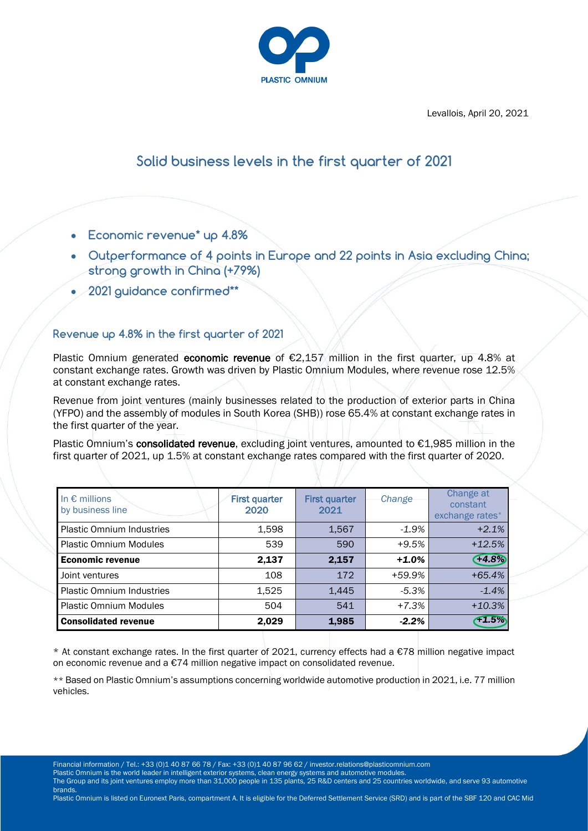

Levallois, April 20, 2021

# **Solid business levels in the first quarter of 2021**

- **Economic revenue\* up 4.8%**
- **Outperformance of 4 points in Europe and 22 points in Asia excluding China; strong growth in China (+79%)**
- **2021 guidance confirmed\*\***

## **Revenue up 4.8% in the first quarter of 2021**

Plastic Omnium generated economic revenue of  $E$ 2,157 million in the first quarter, up 4.8% at constant exchange rates. Growth was driven by Plastic Omnium Modules, where revenue rose 12.5% at constant exchange rates.

Revenue from joint ventures (mainly businesses related to the production of exterior parts in China (YFPO) and the assembly of modules in South Korea (SHB)) rose 65.4% at constant exchange rates in the first quarter of the year.

Plastic Omnium's consolidated revenue, excluding joint ventures, amounted to €1,985 million in the first quarter of 2021, up 1.5% at constant exchange rates compared with the first quarter of 2020.

| In $\epsilon$ millions<br>by business line | <b>First quarter</b><br>2020 | <b>First quarter</b><br>2021 | Change  | Change at<br>constant<br>exchange rates* |
|--------------------------------------------|------------------------------|------------------------------|---------|------------------------------------------|
| <b>Plastic Omnium Industries</b>           | 1,598                        | 1,567                        | $-1.9%$ | $+2.1%$                                  |
| <b>Plastic Omnium Modules</b>              | 539                          | 590                          | $+9.5%$ | $+12.5%$                                 |
| <b>Economic revenue</b>                    | 2,137                        | 2,157                        | $+1.0%$ | $+4.8%$                                  |
| Joint ventures                             | 108                          | 172                          | +59.9%  | $+65.4%$                                 |
| <b>Plastic Omnium Industries</b>           | 1,525                        | 1,445                        | $-5.3%$ | $-1.4%$                                  |
| <b>Plastic Omnium Modules</b>              | 504                          | 541                          | $+7.3%$ | $+10.3%$                                 |
| <b>Consolidated revenue</b>                | 2,029                        | 1,985                        | $-2.2%$ | f1.5%                                    |

\* At constant exchange rates. In the first quarter of 2021, currency effects had a  $\epsilon$ 78 million negative impact on economic revenue and a €74 million negative impact on consolidated revenue.

\*\* Based on Plastic Omnium's assumptions concerning worldwide automotive production in 2021, i.e. 77 million vehicles.

Financial information / Tel.: +33 (0)1 40 87 66 78 / Fax: +33 (0)1 40 87 96 62 / investor.relations@plasticomnium.com

Plastic Omnium is the world leader in intelligent exterior systems, clean energy systems and automotive modules.

The Group and its joint ventures employ more than 31,000 people in 135 plants, 25 R&D centers and 25 countries worldwide, and serve 93 automotive brands.

Plastic Omnium is listed on Euronext Paris, compartment A. It is eligible for the Deferred Settlement Service (SRD) and is part of the SBF 120 and CAC Mid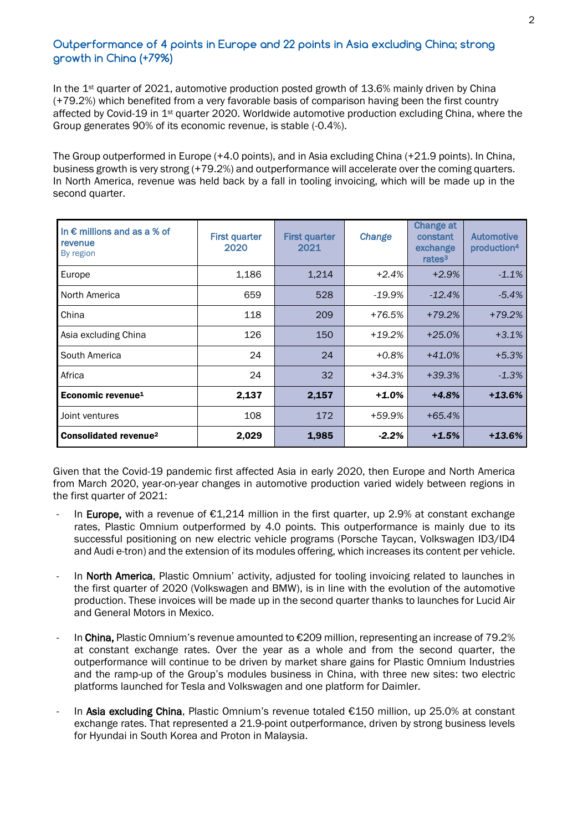## **Outperformance of 4 points in Europe and 22 points in Asia excluding China; strong growth in China (+79%)**

In the 1<sup>st</sup> quarter of 2021, automotive production posted growth of 13.6% mainly driven by China (+79.2%) which benefited from a very favorable basis of comparison having been the first country affected by Covid-19 in 1st quarter 2020. Worldwide automotive production excluding China, where the Group generates 90% of its economic revenue, is stable (-0.4%).

The Group outperformed in Europe (+4.0 points), and in Asia excluding China (+21.9 points). In China, business growth is very strong (+79.2%) and outperformance will accelerate over the coming quarters. In North America, revenue was held back by a fall in tooling invoicing, which will be made up in the second quarter.

| In $\epsilon$ millions and as a % of<br>revenue<br>By region | <b>First quarter</b><br>2020 | <b>First quarter</b><br>2021 | Change    | <b>Change at</b><br>constant<br>exchange<br>rates <sup>3</sup> | <b>Automotive</b><br>production <sup>4</sup> |
|--------------------------------------------------------------|------------------------------|------------------------------|-----------|----------------------------------------------------------------|----------------------------------------------|
| Europe                                                       | 1,186                        | 1,214                        | $+2.4%$   | $+2.9%$                                                        | $-1.1%$                                      |
| North America                                                | 659                          | 528                          | $-19.9\%$ | $-12.4\%$                                                      | $-5.4%$                                      |
| China                                                        | 118                          | 209                          | +76.5%    | $+79.2%$                                                       | $+79.2%$                                     |
| Asia excluding China                                         | 126                          | 150                          | $+19.2%$  | $+25.0%$                                                       | $+3.1%$                                      |
| South America                                                | 24                           | 24                           | $+0.8%$   | $+41.0%$                                                       | $+5.3%$                                      |
| Africa                                                       | 24                           | 32                           | +34.3%    | $+39.3%$                                                       | $-1.3%$                                      |
| Economic revenue <sup>1</sup>                                | 2,137                        | 2,157                        | $+1.0%$   | $+4.8%$                                                        | $+13.6%$                                     |
| Joint ventures                                               | 108                          | 172                          | +59.9%    | $+65.4%$                                                       |                                              |
| Consolidated revenue <sup>2</sup>                            | 2,029                        | 1,985                        | $-2.2\%$  | $+1.5%$                                                        | $+13.6%$                                     |

Given that the Covid-19 pandemic first affected Asia in early 2020, then Europe and North America from March 2020, year-on-year changes in automotive production varied widely between regions in the first quarter of 2021:

- In Europe, with a revenue of  $E1,214$  million in the first quarter, up 2.9% at constant exchange rates, Plastic Omnium outperformed by 4.0 points. This outperformance is mainly due to its successful positioning on new electric vehicle programs (Porsche Taycan, Volkswagen ID3/ID4 and Audi e-tron) and the extension of its modules offering, which increases its content per vehicle.
- In North America, Plastic Omnium' activity, adjusted for tooling invoicing related to launches in the first quarter of 2020 (Volkswagen and BMW), is in line with the evolution of the automotive production. These invoices will be made up in the second quarter thanks to launches for Lucid Air and General Motors in Mexico.
- In China, Plastic Omnium's revenue amounted to  $\epsilon$ 209 million, representing an increase of 79.2% at constant exchange rates. Over the year as a whole and from the second quarter, the outperformance will continue to be driven by market share gains for Plastic Omnium Industries and the ramp-up of the Group's modules business in China, with three new sites: two electric platforms launched for Tesla and Volkswagen and one platform for Daimler.
- In Asia excluding China, Plastic Omnium's revenue totaled €150 million, up 25.0% at constant exchange rates. That represented a 21.9-point outperformance, driven by strong business levels for Hyundai in South Korea and Proton in Malaysia.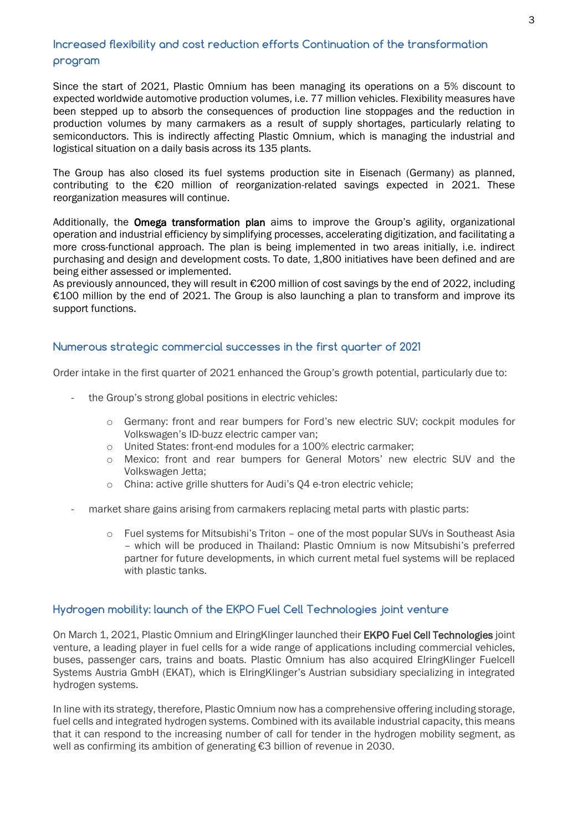## **Increased flexibility and cost reduction efforts Continuation of the transformation program**

Since the start of 2021, Plastic Omnium has been managing its operations on a 5% discount to expected worldwide automotive production volumes, i.e. 77 million vehicles. Flexibility measures have been stepped up to absorb the consequences of production line stoppages and the reduction in production volumes by many carmakers as a result of supply shortages, particularly relating to semiconductors. This is indirectly affecting Plastic Omnium, which is managing the industrial and logistical situation on a daily basis across its 135 plants.

The Group has also closed its fuel systems production site in Eisenach (Germany) as planned, contributing to the €20 million of reorganization-related savings expected in 2021. These reorganization measures will continue.

Additionally, the **Omega transformation plan** aims to improve the Group's agility, organizational operation and industrial efficiency by simplifying processes, accelerating digitization, and facilitating a more cross-functional approach. The plan is being implemented in two areas initially, i.e. indirect purchasing and design and development costs. To date, 1,800 initiatives have been defined and are being either assessed or implemented.

As previously announced, they will result in €200 million of cost savings by the end of 2022, including €100 million by the end of 2021. The Group is also launching a plan to transform and improve its support functions.

#### **Numerous strategic commercial successes in the first quarter of 2021**

Order intake in the first quarter of 2021 enhanced the Group's growth potential, particularly due to:

- the Group's strong global positions in electric vehicles:
	- o Germany: front and rear bumpers for Ford's new electric SUV; cockpit modules for Volkswagen's ID-buzz electric camper van;
	- o United States: front-end modules for a 100% electric carmaker;
	- o Mexico: front and rear bumpers for General Motors' new electric SUV and the Volkswagen Jetta;
	- o China: active grille shutters for Audi's Q4 e-tron electric vehicle;
- market share gains arising from carmakers replacing metal parts with plastic parts:
	- $\circ$  Fuel systems for Mitsubishi's Triton one of the most popular SUVs in Southeast Asia – which will be produced in Thailand: Plastic Omnium is now Mitsubishi's preferred partner for future developments, in which current metal fuel systems will be replaced with plastic tanks.

### **Hydrogen mobility: launch of the EKPO Fuel Cell Technologies joint venture**

On March 1, 2021, Plastic Omnium and ElringKlinger launched their EKPO Fuel Cell Technologies joint venture, a leading player in fuel cells for a wide range of applications including commercial vehicles, buses, passenger cars, trains and boats. Plastic Omnium has also acquired ElringKlinger Fuelcell Systems Austria GmbH (EKAT), which is ElringKlinger's Austrian subsidiary specializing in integrated hydrogen systems.

In line with its strategy, therefore, Plastic Omnium now has a comprehensive offering including storage, fuel cells and integrated hydrogen systems. Combined with its available industrial capacity, this means that it can respond to the increasing number of call for tender in the hydrogen mobility segment, as well as confirming its ambition of generating €3 billion of revenue in 2030.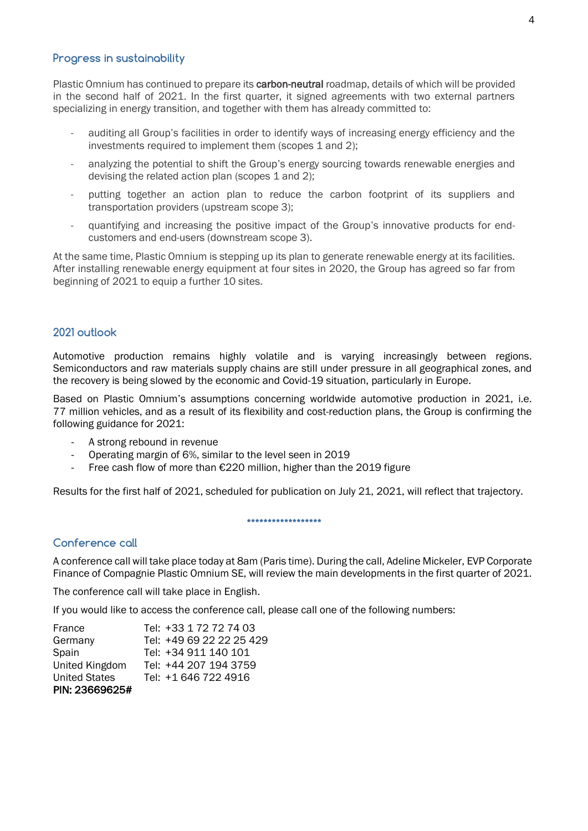#### **Progress in sustainability**

Plastic Omnium has continued to prepare its **carbon-neutral** roadmap, details of which will be provided in the second half of 2021. In the first quarter, it signed agreements with two external partners specializing in energy transition, and together with them has already committed to:

- auditing all Group's facilities in order to identify ways of increasing energy efficiency and the investments required to implement them (scopes 1 and 2);
- analyzing the potential to shift the Group's energy sourcing towards renewable energies and devising the related action plan (scopes 1 and 2);
- putting together an action plan to reduce the carbon footprint of its suppliers and transportation providers (upstream scope 3);
- quantifying and increasing the positive impact of the Group's innovative products for endcustomers and end-users (downstream scope 3).

At the same time, Plastic Omnium is stepping up its plan to generate renewable energy at its facilities. After installing renewable energy equipment at four sites in 2020, the Group has agreed so far from beginning of 2021 to equip a further 10 sites.

#### **2021 outlook**

Automotive production remains highly volatile and is varying increasingly between regions. Semiconductors and raw materials supply chains are still under pressure in all geographical zones, and the recovery is being slowed by the economic and Covid-19 situation, particularly in Europe.

Based on Plastic Omnium's assumptions concerning worldwide automotive production in 2021, i.e. 77 million vehicles, and as a result of its flexibility and cost-reduction plans, the Group is confirming the following guidance for 2021:

- A strong rebound in revenue
- Operating margin of 6%, similar to the level seen in 2019
- Free cash flow of more than €220 million, higher than the 2019 figure

Results for the first half of 2021, scheduled for publication on July 21, 2021, will reflect that trajectory.

#### **\*\*\*\*\*\*\*\*\*\*\*\*\*\*\*\*\*\***

### **Conference call**

A conference call will take place today at 8am (Paris time). During the call, Adeline Mickeler, EVP Corporate Finance of Compagnie Plastic Omnium SE, will review the main developments in the first quarter of 2021.

The conference call will take place in English.

If you would like to access the conference call, please call one of the following numbers:

| France               | Tel: +33 1 72 72 74 03   |
|----------------------|--------------------------|
| Germany              | Tel: +49 69 22 22 25 429 |
| Spain                | Tel: +34 911 140 101     |
| United Kingdom       | Tel: +44 207 194 3759    |
| <b>United States</b> | Tel: +1 646 722 4916     |
| PIN: 23669625#       |                          |